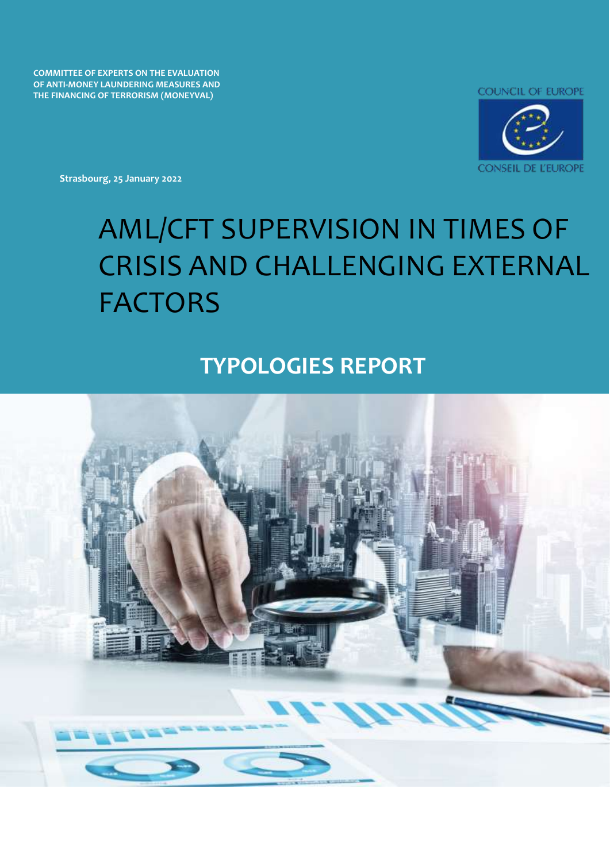**COMMITTEE OF EXPERTS ON THE EVALUATION OF ANTI-MONEY LAUNDERING MEASURES AND THE FINANCING OF TERRORISM (MONEYVAL)**



**Strasbourg, 25 January 2022**

# AML/CFT SUPERVISION IN TIMES OF CRISIS AND CHALLENGING EXTERNAL FACTORS

## **TYPOLOGIES REPORT**

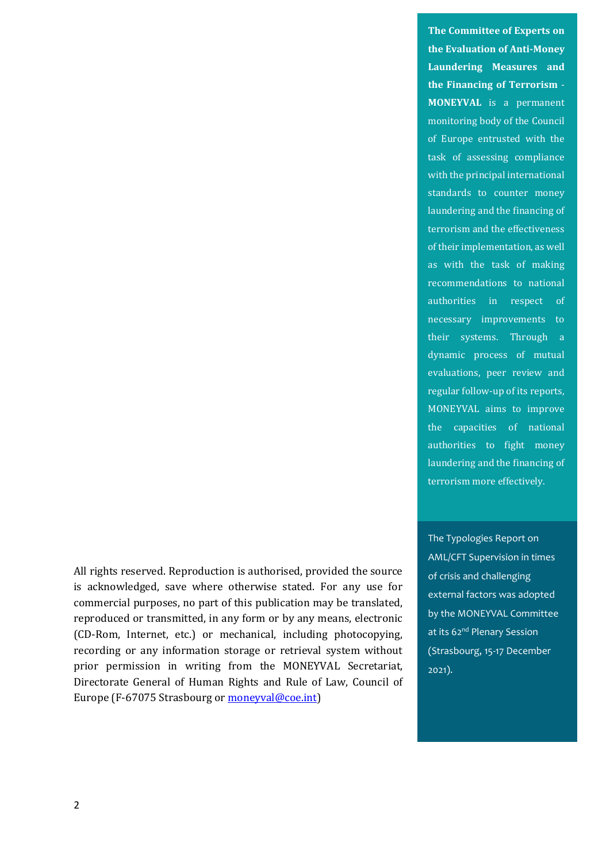All rights reserved. Reproduction is authorised, provided the source is acknowledged, save where otherwise stated. For any use for commercial purposes, no part of this publication may be translated, reproduced or transmitted, in any form or by any means, electronic (CD-Rom, Internet, etc.) or mechanical, including photocopying, recording or any information storage or retrieval system without prior permission in writing from the MONEYVAL Secretariat, Directorate General of Human Rights and Rule of Law, Council of Europe (F-67075 Strasbourg o[r moneyval@coe.int\)](mailto:moneyval@coe.int)

**The Committee of Experts on the Evaluation of Anti-Money Laundering Measures and the Financing of Terrorism** - **MONEYVAL** is a permanent monitoring body of the Council of Europe entrusted with the task of assessing compliance with the principal international standards to counter money laundering and the financing of terrorism and the effectiveness of their implementation, as well as with the task of making recommendations to national authorities in respect of necessary improvements to their systems. Through a dynamic process of mutual evaluations, peer review and regular follow-up of its reports, MONEYVAL aims to improve the capacities of national authorities to fight money laundering and the financing of terrorism more effectively.

The Typologies Report on AML/CFT Supervision in times of crisis and challenging external factors was adopted by the MONEYVAL Committee at its 62<sup>nd</sup> Plenary Session (Strasbourg, 15-17 December 2021).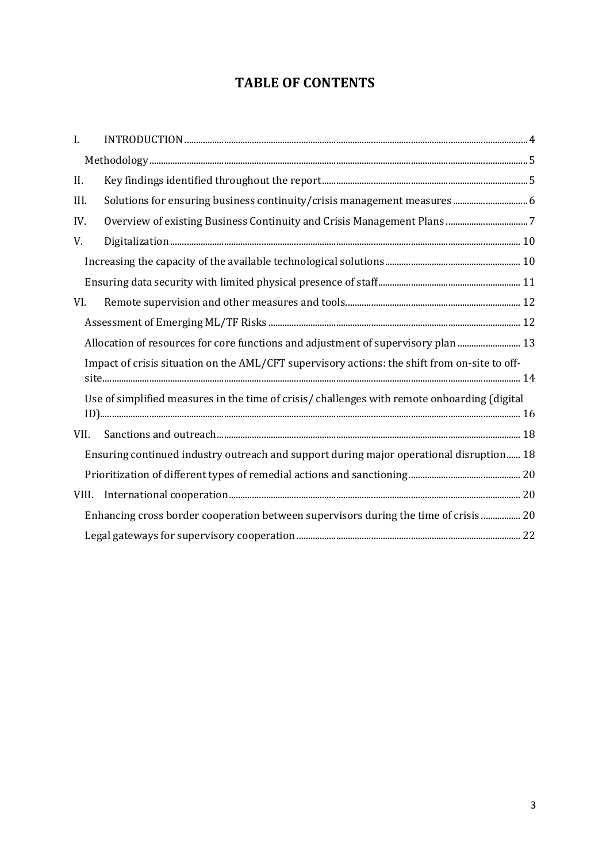## **TABLE OF CONTENTS**

| $\mathbf{I}$ . |                                                                                               |  |
|----------------|-----------------------------------------------------------------------------------------------|--|
|                |                                                                                               |  |
| II.            |                                                                                               |  |
| III.           | Solutions for ensuring business continuity/crisis management measures 6                       |  |
| IV.            |                                                                                               |  |
| V.             |                                                                                               |  |
|                |                                                                                               |  |
|                |                                                                                               |  |
| VI.            |                                                                                               |  |
|                |                                                                                               |  |
|                | Allocation of resources for core functions and adjustment of supervisory plan  13             |  |
|                | Impact of crisis situation on the AML/CFT supervisory actions: the shift from on-site to off- |  |
|                |                                                                                               |  |
|                | Use of simplified measures in the time of crisis/ challenges with remote onboarding (digital  |  |
|                |                                                                                               |  |
| VII.           |                                                                                               |  |
|                | Ensuring continued industry outreach and support during major operational disruption 18       |  |
|                |                                                                                               |  |
| VIII.          |                                                                                               |  |
|                | Enhancing cross border cooperation between supervisors during the time of crisis  20          |  |
|                |                                                                                               |  |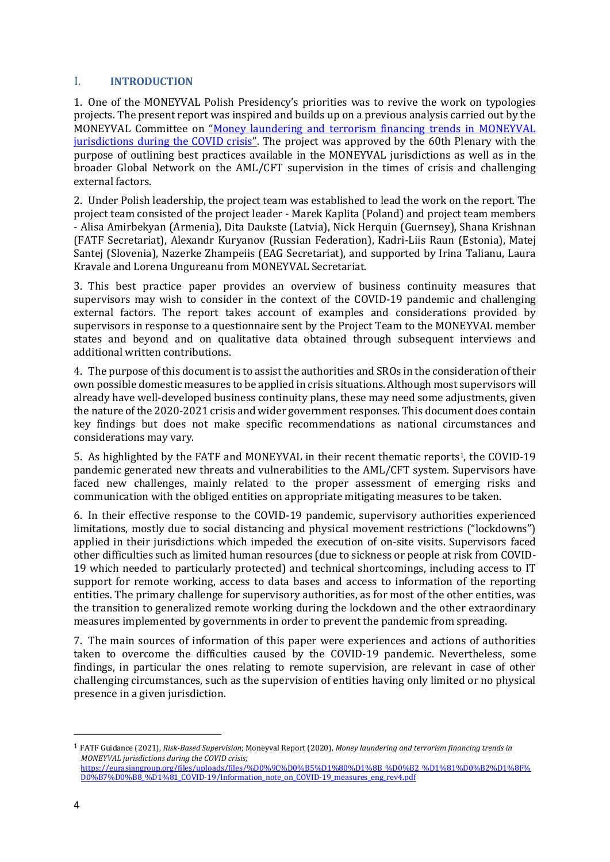#### <span id="page-3-0"></span>I. **INTRODUCTION**

1. One of the MONEYVAL Polish Presidency's priorities was to revive the work on typologies projects. The present report was inspired and builds up on a previous analysis carried out by the MONEYVAL Committee on "[Money laundering and terrorism financing trends in MONEYVAL](https://rm.coe.int/moneyval-2020-18rev-covid19/16809f66c3)  [jurisdictions during the COVID crisis](https://rm.coe.int/moneyval-2020-18rev-covid19/16809f66c3)". The project was approved by the 60th Plenary with the purpose of outlining best practices available in the MONEYVAL jurisdictions as well as in the broader Global Network on the AML/CFT supervision in the times of crisis and challenging external factors.

2. Under Polish leadership, the project team was established to lead the work on the report. The project team consisted of the project leader - Marek Kaplita (Poland) and project team members - Alisa Amirbekyan (Armenia), Dita Daukste (Latvia), Nick Herquin (Guernsey), Shana Krishnan (FATF Secretariat), Alexandr Kuryanov (Russian Federation), Kadri-Liis Raun (Estonia), Matej Santej (Slovenia), Nazerke Zhampeiis (EAG Secretariat), and supported by Irina Talianu, Laura Kravale and Lorena Ungureanu from MONEYVAL Secretariat.

3. This best practice paper provides an overview of business continuity measures that supervisors may wish to consider in the context of the COVID-19 pandemic and challenging external factors. The report takes account of examples and considerations provided by supervisors in response to a questionnaire sent by the Project Team to the MONEYVAL member states and beyond and on qualitative data obtained through subsequent interviews and additional written contributions.

4. The purpose of this document is to assist the authorities and SROs in the consideration of their own possible domestic measures to be applied in crisis situations. Although most supervisors will already have well-developed business continuity plans, these may need some adjustments, given the nature of the 2020-2021 crisis and wider government responses. This document does contain key findings but does not make specific recommendations as national circumstances and considerations may vary.

5. As highlighted by the FATF and MONEYVAL in their recent thematic reports<sup>1</sup>, the COVID-19 pandemic generated new threats and vulnerabilities to the AML/CFT system. Supervisors have faced new challenges, mainly related to the proper assessment of emerging risks and communication with the obliged entities on appropriate mitigating measures to be taken.

6. In their effective response to the COVID-19 pandemic, supervisory authorities experienced limitations, mostly due to social distancing and physical movement restrictions ("lockdowns") applied in their jurisdictions which impeded the execution of on-site visits. Supervisors faced other difficulties such as limited human resources (due to sickness or people at risk from COVID-19 which needed to particularly protected) and technical shortcomings, including access to IT support for remote working, access to data bases and access to information of the reporting entities. The primary challenge for supervisory authorities, as for most of the other entities, was the transition to generalized remote working during the lockdown and the other extraordinary measures implemented by governments in order to prevent the pandemic from spreading.

7. The main sources of information of this paper were experiences and actions of authorities taken to overcome the difficulties caused by the COVID-19 pandemic. Nevertheless, some findings, in particular the ones relating to remote supervision, are relevant in case of other challenging circumstances, such as the supervision of entities having only limited or no physical presence in a given jurisdiction.

<sup>1</sup> FATF Guidance (2021), *Risk-Based Supervision*; Moneyval Report (2020), *Money laundering and terrorism financing trends in MONEYVAL jurisdictions during the COVID crisis;*  [https://eurasiangroup.org/files/uploads/files/%D0%9C%D0%B5%D1%80%D1%8B\\_%D0%B2\\_%D1%81%D0%B2%D1%8F%](https://eurasiangroup.org/files/uploads/files/%D0%9C%D0%B5%D1%80%D1%8B_%D0%B2_%D1%81%D0%B2%D1%8F%D0%B7%D0%B8_%D1%81_COVID-19/Information_note_on_COVID-19_measures_eng_rev4.pdf) [D0%B7%D0%B8\\_%D1%81\\_COVID-19/Information\\_note\\_on\\_COVID-19\\_measures\\_eng\\_rev4.pdf](https://eurasiangroup.org/files/uploads/files/%D0%9C%D0%B5%D1%80%D1%8B_%D0%B2_%D1%81%D0%B2%D1%8F%D0%B7%D0%B8_%D1%81_COVID-19/Information_note_on_COVID-19_measures_eng_rev4.pdf)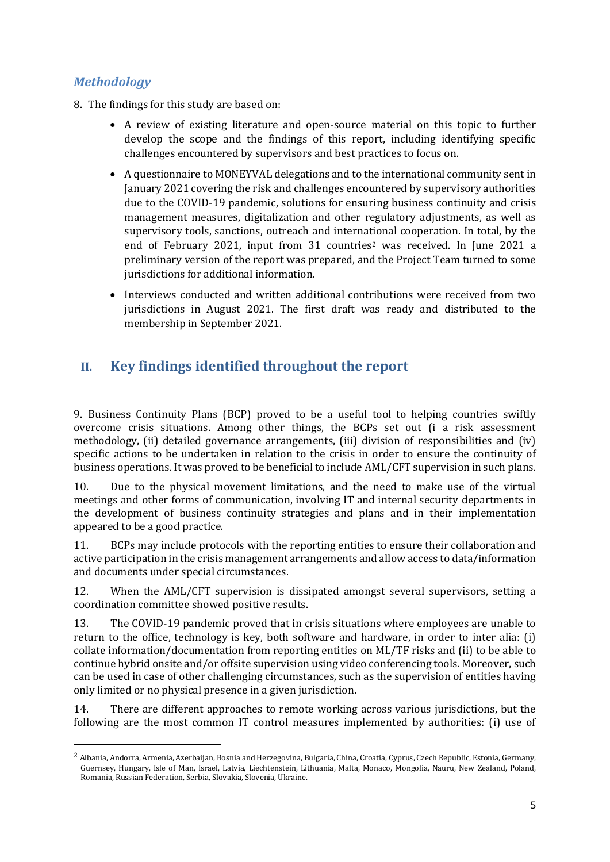## <span id="page-4-0"></span>*Methodology*

- 8. The findings for this study are based on:
	- A review of existing literature and open-source material on this topic to further develop the scope and the findings of this report, including identifying specific challenges encountered by supervisors and best practices to focus on.
	- A questionnaire to MONEYVAL delegations and to the international community sent in January 2021 covering the risk and challenges encountered by supervisory authorities due to the COVID-19 pandemic, solutions for ensuring business continuity and crisis management measures, digitalization and other regulatory adjustments, as well as supervisory tools, sanctions, outreach and international cooperation. In total, by the end of February 2021, input from 31 countries<sup>2</sup> was received. In June 2021 a preliminary version of the report was prepared, and the Project Team turned to some jurisdictions for additional information.
	- Interviews conducted and written additional contributions were received from two jurisdictions in August 2021. The first draft was ready and distributed to the membership in September 2021.

## <span id="page-4-1"></span>**II. Key findings identified throughout the report**

9. Business Continuity Plans (BCP) proved to be a useful tool to helping countries swiftly overcome crisis situations. Among other things, the BCPs set out (i a risk assessment methodology, (ii) detailed governance arrangements, (iii) division of responsibilities and (iv) specific actions to be undertaken in relation to the crisis in order to ensure the continuity of business operations. It was proved to be beneficial to include AML/CFT supervision in such plans.

10. Due to the physical movement limitations, and the need to make use of the virtual meetings and other forms of communication, involving IT and internal security departments in the development of business continuity strategies and plans and in their implementation appeared to be a good practice.

11. BCPs may include protocols with the reporting entities to ensure their collaboration and active participation in the crisis management arrangements and allow access to data/information and documents under special circumstances.

12. When the AML/CFT supervision is dissipated amongst several supervisors, setting a coordination committee showed positive results.

13. The COVID-19 pandemic proved that in crisis situations where employees are unable to return to the office, technology is key, both software and hardware, in order to inter alia: (i) collate information/documentation from reporting entities on ML/TF risks and (ii) to be able to continue hybrid onsite and/or offsite supervision using video conferencing tools. Moreover, such can be used in case of other challenging circumstances, such as the supervision of entities having only limited or no physical presence in a given jurisdiction.

14. There are different approaches to remote working across various jurisdictions, but the following are the most common IT control measures implemented by authorities: (i) use of

<sup>&</sup>lt;sup>2</sup> Albania, Andorra, Armenia, Azerbaijan, Bosnia and Herzegovina, Bulgaria, China, Croatia, Cyprus, Czech Republic, Estonia, Germany, Guernsey, Hungary, Isle of Man, Israel, Latvia, Liechtenstein, Lithuania, Malta, Monaco, Mongolia, Nauru, New Zealand, Poland, Romania, Russian Federation, Serbia, Slovakia, Slovenia, Ukraine.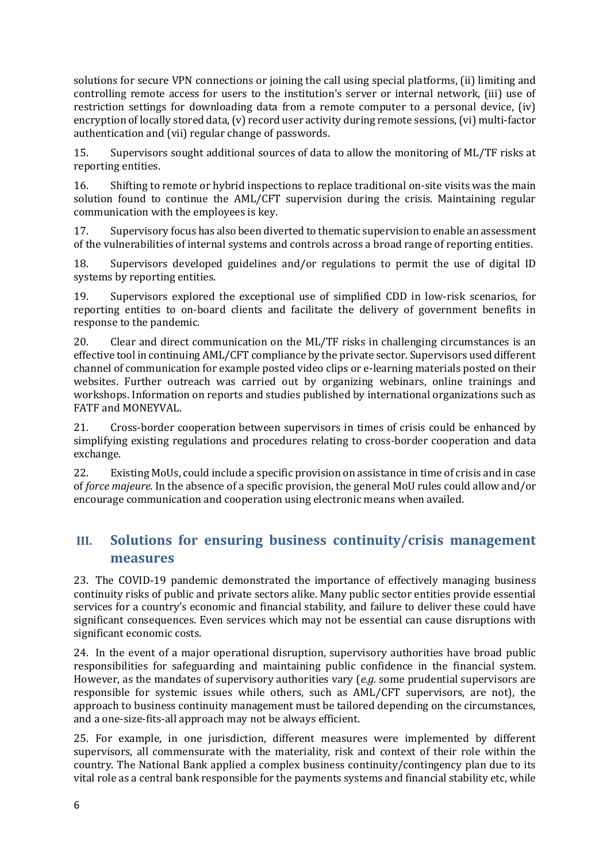solutions for secure VPN connections or joining the call using special platforms, (ii) limiting and controlling remote access for users to the institution's server or internal network, (iii) use of restriction settings for downloading data from a remote computer to a personal device, (iv) encryption of locally stored data, (v) record user activity during remote sessions, (vi) multi-factor authentication and (vii) regular change of passwords.

15. Supervisors sought additional sources of data to allow the monitoring of ML/TF risks at reporting entities.

16. Shifting to remote or hybrid inspections to replace traditional on-site visits was the main solution found to continue the AML/CFT supervision during the crisis. Maintaining regular communication with the employees is key.

17. Supervisory focus has also been diverted to thematic supervision to enable an assessment of the vulnerabilities of internal systems and controls across a broad range of reporting entities.

18. Supervisors developed guidelines and/or regulations to permit the use of digital ID systems by reporting entities.

19. Supervisors explored the exceptional use of simplified CDD in low-risk scenarios, for reporting entities to on-board clients and facilitate the delivery of government benefits in response to the pandemic.

20. Clear and direct communication on the ML/TF risks in challenging circumstances is an effective tool in continuing AML/CFT compliance by the private sector. Supervisors used different channel of communication for example posted video clips or e-learning materials posted on their websites. Further outreach was carried out by organizing webinars, online trainings and workshops. Information on reports and studies published by international organizations such as FATF and MONEYVAL.

21. Cross-border cooperation between supervisors in times of crisis could be enhanced by simplifying existing regulations and procedures relating to cross-border cooperation and data exchange.

22. Existing MoUs, could include a specific provision on assistance in time of crisis and in case of *force majeure*. In the absence of a specific provision, the general MoU rules could allow and/or encourage communication and cooperation using electronic means when availed.

## <span id="page-5-0"></span>**III. Solutions for ensuring business continuity/crisis management measures**

23. The COVID-19 pandemic demonstrated the importance of effectively managing business continuity risks of public and private sectors alike. Many public sector entities provide essential services for a country's economic and financial stability, and failure to deliver these could have significant consequences. Even services which may not be essential can cause disruptions with significant economic costs.

24. In the event of a major operational disruption, supervisory authorities have broad public responsibilities for safeguarding and maintaining public confidence in the financial system. However, as the mandates of supervisory authorities vary (*e.g.* some prudential supervisors are responsible for systemic issues while others, such as AML/CFT supervisors, are not), the approach to business continuity management must be tailored depending on the circumstances, and a one-size-fits-all approach may not be always efficient.

25. For example, in one jurisdiction, different measures were implemented by different supervisors, all commensurate with the materiality, risk and context of their role within the country. The National Bank applied a complex business continuity/contingency plan due to its vital role as a central bank responsible for the payments systems and financial stability etc, while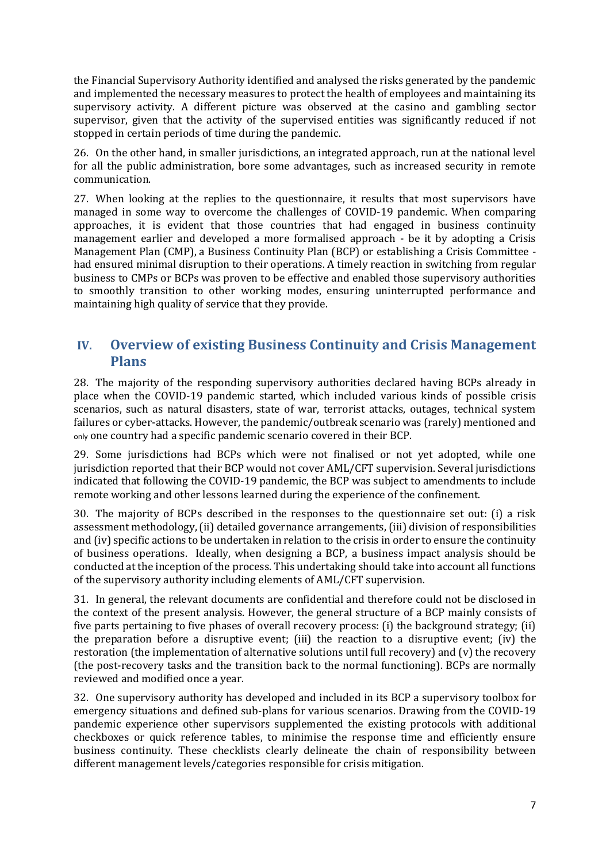the Financial Supervisory Authority identified and analysed the risks generated by the pandemic and implemented the necessary measures to protect the health of employees and maintaining its supervisory activity. A different picture was observed at the casino and gambling sector supervisor, given that the activity of the supervised entities was significantly reduced if not stopped in certain periods of time during the pandemic.

26. On the other hand, in smaller jurisdictions, an integrated approach, run at the national level for all the public administration, bore some advantages, such as increased security in remote communication.

27. When looking at the replies to the questionnaire, it results that most supervisors have managed in some way to overcome the challenges of COVID-19 pandemic. When comparing approaches, it is evident that those countries that had engaged in business continuity management earlier and developed a more formalised approach - be it by adopting a Crisis Management Plan (CMP), a Business Continuity Plan (BCP) or establishing a Crisis Committee had ensured minimal disruption to their operations. A timely reaction in switching from regular business to CMPs or BCPs was proven to be effective and enabled those supervisory authorities to smoothly transition to other working modes, ensuring uninterrupted performance and maintaining high quality of service that they provide.

## <span id="page-6-0"></span>**IV. Overview of existing Business Continuity and Crisis Management Plans**

28. The majority of the responding supervisory authorities declared having BCPs already in place when the COVID-19 pandemic started, which included various kinds of possible crisis scenarios, such as natural disasters, state of war, terrorist attacks, outages, technical system failures or cyber-attacks. However, the pandemic/outbreak scenario was (rarely) mentioned and only one country had a specific pandemic scenario covered in their BCP.

29. Some jurisdictions had BCPs which were not finalised or not yet adopted, while one jurisdiction reported that their BCP would not cover AML/CFT supervision. Several jurisdictions indicated that following the COVID-19 pandemic, the BCP was subject to amendments to include remote working and other lessons learned during the experience of the confinement.

30. The majority of BCPs described in the responses to the questionnaire set out: (i) a risk assessment methodology, (ii) detailed governance arrangements, (iii) division of responsibilities and (iv) specific actions to be undertaken in relation to the crisis in order to ensure the continuity of business operations. Ideally, when designing a BCP, a business impact analysis should be conducted at the inception of the process. This undertaking should take into account all functions of the supervisory authority including elements of AML/CFT supervision.

31. In general, the relevant documents are confidential and therefore could not be disclosed in the context of the present analysis. However, the general structure of a BCP mainly consists of five parts pertaining to five phases of overall recovery process: (i) the background strategy; (ii) the preparation before a disruptive event; (iii) the reaction to a disruptive event; (iv) the restoration (the implementation of alternative solutions until full recovery) and (v) the recovery (the post-recovery tasks and the transition back to the normal functioning). BCPs are normally reviewed and modified once a year.

32. One supervisory authority has developed and included in its BCP a supervisory toolbox for emergency situations and defined sub-plans for various scenarios. Drawing from the COVID-19 pandemic experience other supervisors supplemented the existing protocols with additional checkboxes or quick reference tables, to minimise the response time and efficiently ensure business continuity. These checklists clearly delineate the chain of responsibility between different management levels/categories responsible for crisis mitigation.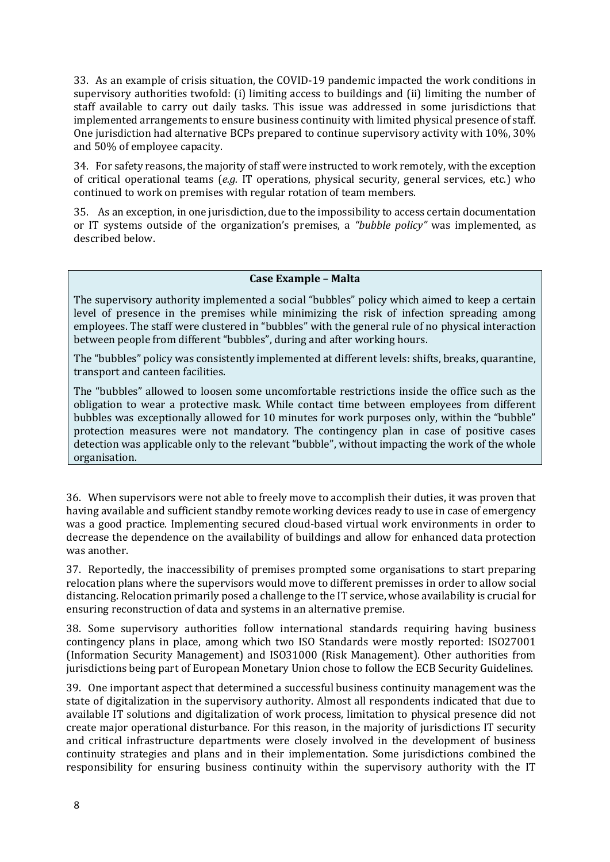33. As an example of crisis situation, the COVID-19 pandemic impacted the work conditions in supervisory authorities twofold: (i) limiting access to buildings and (ii) limiting the number of staff available to carry out daily tasks. This issue was addressed in some jurisdictions that implemented arrangements to ensure business continuity with limited physical presence of staff. One jurisdiction had alternative BCPs prepared to continue supervisory activity with 10%, 30% and 50% of employee capacity.

34. For safety reasons, the majority of staff were instructed to work remotely, with the exception of critical operational teams (*e.g.* IT operations, physical security, general services, etc.) who continued to work on premises with regular rotation of team members.

35. As an exception, in one jurisdiction, due to the impossibility to access certain documentation or IT systems outside of the organization's premises, a *"bubble policy"* was implemented, as described below.

#### **Case Example – Malta**

The supervisory authority implemented a social "bubbles" policy which aimed to keep a certain level of presence in the premises while minimizing the risk of infection spreading among employees. The staff were clustered in "bubbles" with the general rule of no physical interaction between people from different "bubbles", during and after working hours.

The "bubbles" policy was consistently implemented at different levels: shifts, breaks, quarantine, transport and canteen facilities.

The "bubbles" allowed to loosen some uncomfortable restrictions inside the office such as the obligation to wear a protective mask. While contact time between employees from different bubbles was exceptionally allowed for 10 minutes for work purposes only, within the "bubble" protection measures were not mandatory. The contingency plan in case of positive cases detection was applicable only to the relevant "bubble", without impacting the work of the whole organisation.

36. When supervisors were not able to freely move to accomplish their duties, it was proven that having available and sufficient standby remote working devices ready to use in case of emergency was a good practice. Implementing secured cloud-based virtual work environments in order to decrease the dependence on the availability of buildings and allow for enhanced data protection was another.

37. Reportedly, the inaccessibility of premises prompted some organisations to start preparing relocation plans where the supervisors would move to different premisses in order to allow social distancing. Relocation primarily posed a challenge to the IT service, whose availability is crucial for ensuring reconstruction of data and systems in an alternative premise.

38. Some supervisory authorities follow international standards requiring having business contingency plans in place, among which two ISO Standards were mostly reported: ISO27001 (Information Security Management) and ISO31000 (Risk Management). Other authorities from jurisdictions being part of European Monetary Union chose to follow the ECB Security Guidelines.

39. One important aspect that determined a successful business continuity management was the state of digitalization in the supervisory authority. Almost all respondents indicated that due to available IT solutions and digitalization of work process, limitation to physical presence did not create major operational disturbance. For this reason, in the majority of jurisdictions IT security and critical infrastructure departments were closely involved in the development of business continuity strategies and plans and in their implementation. Some jurisdictions combined the responsibility for ensuring business continuity within the supervisory authority with the IT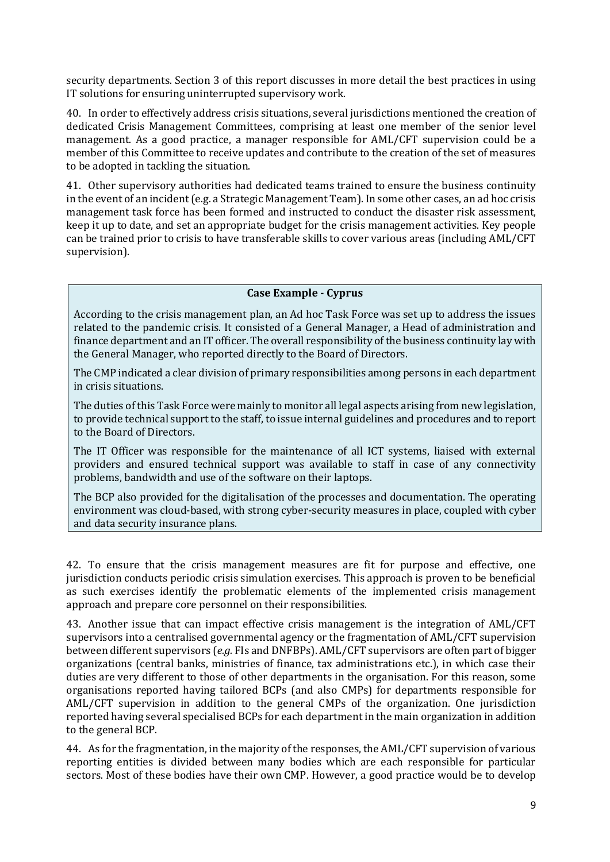security departments. Section 3 of this report discusses in more detail the best practices in using IT solutions for ensuring uninterrupted supervisory work.

40. In order to effectively address crisis situations, several jurisdictions mentioned the creation of dedicated Crisis Management Committees, comprising at least one member of the senior level management. As a good practice, a manager responsible for AML/CFT supervision could be a member of this Committee to receive updates and contribute to the creation of the set of measures to be adopted in tackling the situation.

41. Other supervisory authorities had dedicated teams trained to ensure the business continuity in the event of an incident (e.g. a Strategic Management Team). In some other cases, an ad hoc crisis management task force has been formed and instructed to conduct the disaster risk assessment, keep it up to date, and set an appropriate budget for the crisis management activities. Key people can be trained prior to crisis to have transferable skills to cover various areas (including AML/CFT supervision).

#### **Case Example - Cyprus**

According to the crisis management plan, an Ad hoc Task Force was set up to address the issues related to the pandemic crisis. It consisted of a General Manager, a Head of administration and finance department and an IT officer. The overall responsibility of the business continuity lay with the General Manager, who reported directly to the Board of Directors.

The CMP indicated a clear division of primary responsibilities among persons in each department in crisis situations.

The duties of this Task Force were mainly to monitor all legal aspects arising from new legislation, to provide technical support to the staff, to issue internal guidelines and procedures and to report to the Board of Directors.

The IT Officer was responsible for the maintenance of all ICT systems, liaised with external providers and ensured technical support was available to staff in case of any connectivity problems, bandwidth and use of the software on their laptops.

The BCP also provided for the digitalisation of the processes and documentation. The operating environment was cloud-based, with strong cyber-security measures in place, coupled with cyber and data security insurance plans.

42. To ensure that the crisis management measures are fit for purpose and effective, one jurisdiction conducts periodic crisis simulation exercises. This approach is proven to be beneficial as such exercises identify the problematic elements of the implemented crisis management approach and prepare core personnel on their responsibilities.

43. Another issue that can impact effective crisis management is the integration of AML/CFT supervisors into a centralised governmental agency or the fragmentation of AML/CFT supervision between different supervisors (*e.g.* FIs and DNFBPs). AML/CFT supervisors are often part of bigger organizations (central banks, ministries of finance, tax administrations etc.), in which case their duties are very different to those of other departments in the organisation. For this reason, some organisations reported having tailored BCPs (and also CMPs) for departments responsible for AML/CFT supervision in addition to the general CMPs of the organization. One jurisdiction reported having several specialised BCPs for each department in the main organization in addition to the general BCP.

44. As for the fragmentation, in the majority of the responses, the AML/CFT supervision of various reporting entities is divided between many bodies which are each responsible for particular sectors. Most of these bodies have their own CMP. However, a good practice would be to develop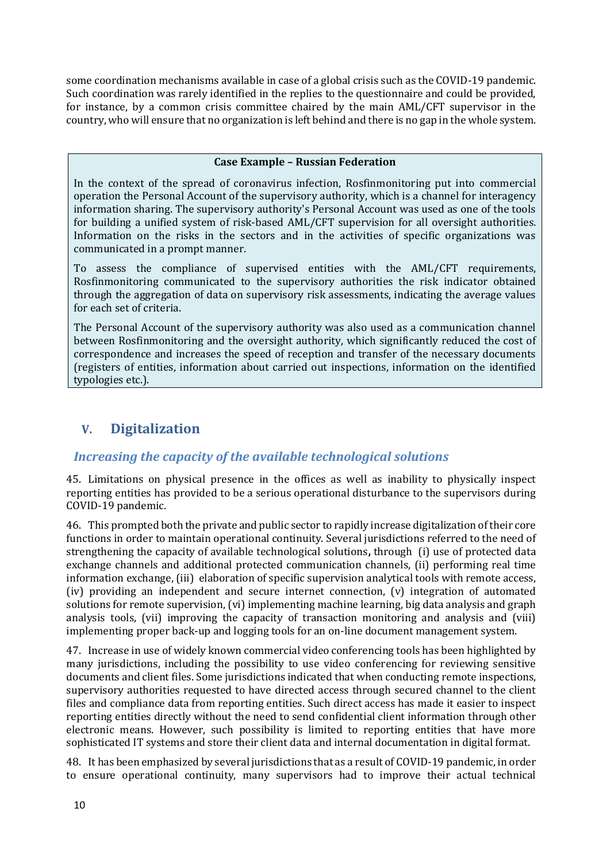some coordination mechanisms available in case of a global crisis such as the COVID-19 pandemic. Such coordination was rarely identified in the replies to the questionnaire and could be provided, for instance, by a common crisis committee chaired by the main AML/CFT supervisor in the country, who will ensure that no organization is left behind and there is no gap in the whole system.

#### **Case Example – Russian Federation**

In the context of the spread of coronavirus infection, Rosfinmonitoring put into commercial operation the Personal Account of the supervisory authority, which is a channel for interagency information sharing. The supervisory authority's Personal Account was used as one of the tools for building a unified system of risk-based AML/CFT supervision for all oversight authorities. Information on the risks in the sectors and in the activities of specific organizations was communicated in a prompt manner.

To assess the compliance of supervised entities with the AML/CFT requirements, Rosfinmonitoring communicated to the supervisory authorities the risk indicator obtained through the aggregation of data on supervisory risk assessments, indicating the average values for each set of criteria.

The Personal Account of the supervisory authority was also used as a communication channel between Rosfinmonitoring and the oversight authority, which significantly reduced the cost of correspondence and increases the speed of reception and transfer of the necessary documents (registers of entities, information about carried out inspections, information on the identified typologies etc.).

## <span id="page-9-0"></span>**V. Digitalization**

## <span id="page-9-1"></span>*Increasing the capacity of the available technological solutions*

45. Limitations on physical presence in the offices as well as inability to physically inspect reporting entities has provided to be a serious operational disturbance to the supervisors during COVID-19 pandemic.

46. This prompted both the private and public sector to rapidly increase digitalization of their core functions in order to maintain operational continuity. Several jurisdictions referred to the need of strengthening the capacity of available technological solutions**,** through (i) use of protected data exchange channels and additional protected communication channels, (ii) performing real time information exchange, (iii) elaboration of specific supervision analytical tools with remote access, (iv) providing an independent and secure internet connection, (v) integration of automated solutions for remote supervision, (vi) implementing machine learning, big data analysis and graph analysis tools, (vii) improving the capacity of transaction monitoring and analysis and (viii) implementing proper back-up and logging tools for an on-line document management system.

47. Increase in use of widely known commercial video conferencing tools has been highlighted by many jurisdictions, including the possibility to use video conferencing for reviewing sensitive documents and client files. Some jurisdictions indicated that when conducting remote inspections, supervisory authorities requested to have directed access through secured channel to the client files and compliance data from reporting entities. Such direct access has made it easier to inspect reporting entities directly without the need to send confidential client information through other electronic means. However, such possibility is limited to reporting entities that have more sophisticated IT systems and store their client data and internal documentation in digital format.

48. It has been emphasized by several jurisdictions that as a result of COVID-19 pandemic, in order to ensure operational continuity, many supervisors had to improve their actual technical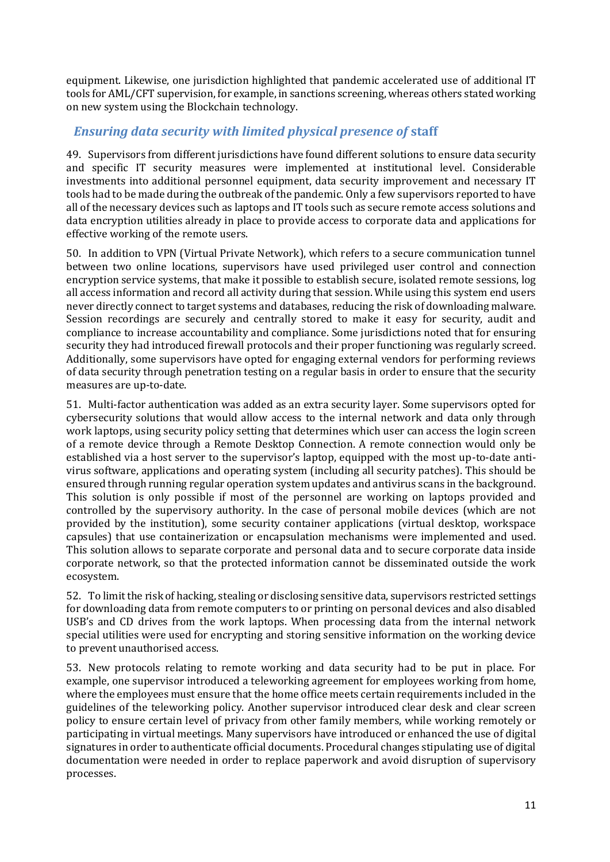equipment. Likewise, one jurisdiction highlighted that pandemic accelerated use of additional IT tools for AML/CFT supervision, for example, in sanctions screening, whereas others stated working on new system using the Blockchain technology.

## <span id="page-10-0"></span>*Ensuring data security with limited physical presence of* **staff**

49. Supervisors from different jurisdictions have found different solutions to ensure data security and specific IT security measures were implemented at institutional level. Considerable investments into additional personnel equipment, data security improvement and necessary IT tools had to be made during the outbreak of the pandemic. Only a few supervisors reported to have all of the necessary devices such as laptops and IT tools such as secure remote access solutions and data encryption utilities already in place to provide access to corporate data and applications for effective working of the remote users.

50. In addition to VPN (Virtual Private Network), which refers to a secure communication tunnel between two online locations, supervisors have used privileged user control and connection encryption service systems, that make it possible to establish secure, isolated remote sessions, log all access information and record all activity during that session. While using this system end users never directly connect to target systems and databases, reducing the risk of downloading malware. Session recordings are securely and centrally stored to make it easy for security, audit and compliance to increase accountability and compliance. Some jurisdictions noted that for ensuring security they had introduced firewall protocols and their proper functioning was regularly screed. Additionally, some supervisors have opted for engaging external vendors for performing reviews of data security through penetration testing on a regular basis in order to ensure that the security measures are up-to-date.

51. Multi-factor authentication was added as an extra security layer. Some supervisors opted for cybersecurity solutions that would allow access to the internal network and data only through work laptops, using security policy setting that determines which user can access the login screen of a remote device through a Remote Desktop Connection. A remote connection would only be established via a host server to the supervisor's laptop, equipped with the most up-to-date antivirus software, applications and operating system (including all security patches). This should be ensured through running regular operation system updates and antivirus scans in the background. This solution is only possible if most of the personnel are working on laptops provided and controlled by the supervisory authority. In the case of personal mobile devices (which are not provided by the institution), some security container applications (virtual desktop, workspace capsules) that use containerization or encapsulation mechanisms were implemented and used. This solution allows to separate corporate and personal data and to secure corporate data inside corporate network, so that the protected information cannot be disseminated outside the work ecosystem.

52. To limit the risk of hacking, stealing or disclosing sensitive data, supervisors restricted settings for downloading data from remote computers to or printing on personal devices and also disabled USB's and CD drives from the work laptops. When processing data from the internal network special utilities were used for encrypting and storing sensitive information on the working device to prevent unauthorised access.

53. New protocols relating to remote working and data security had to be put in place. For example, one supervisor introduced a teleworking agreement for employees working from home, where the employees must ensure that the home office meets certain requirements included in the guidelines of the teleworking policy. Another supervisor introduced clear desk and clear screen policy to ensure certain level of privacy from other family members, while working remotely or participating in virtual meetings. Many supervisors have introduced or enhanced the use of digital signatures in order to authenticate official documents. Procedural changes stipulating use of digital documentation were needed in order to replace paperwork and avoid disruption of supervisory processes.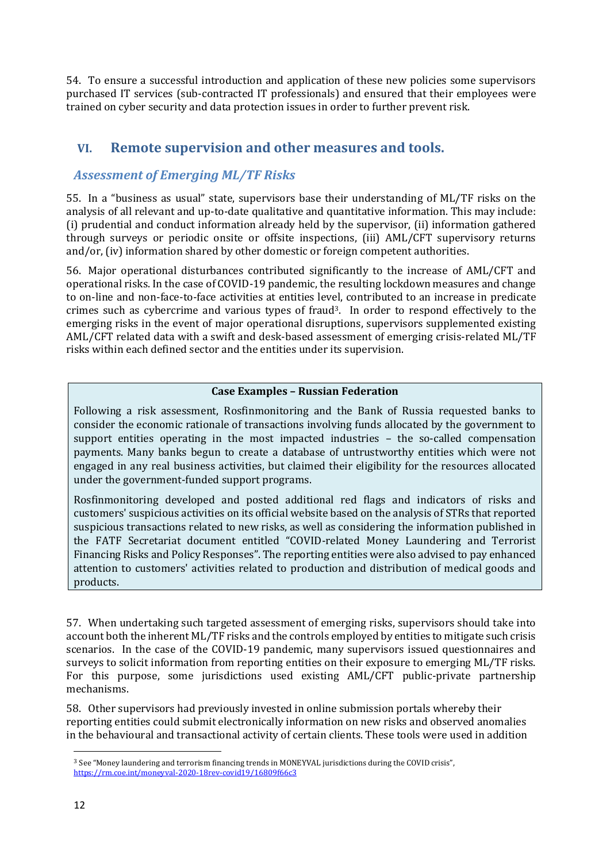54. To ensure a successful introduction and application of these new policies some supervisors purchased IT services (sub-contracted IT professionals) and ensured that their employees were trained on cyber security and data protection issues in order to further prevent risk.

## <span id="page-11-0"></span>**VI. Remote supervision and other measures and tools.**

## <span id="page-11-1"></span>*Assessment of Emerging ML/TF Risks*

55. In a "business as usual" state, supervisors base their understanding of ML/TF risks on the analysis of all relevant and up-to-date qualitative and quantitative information. This may include: (i) prudential and conduct information already held by the supervisor, (ii) information gathered through surveys or periodic onsite or offsite inspections, (iii) AML/CFT supervisory returns and/or, (iv) information shared by other domestic or foreign competent authorities.

56. Major operational disturbances contributed significantly to the increase of AML/CFT and operational risks. In the case of COVID-19 pandemic, the resulting lockdown measures and change to on-line and non-face-to-face activities at entities level, contributed to an increase in predicate crimes such as cybercrime and various types of fraud3. In order to respond effectively to the emerging risks in the event of major operational disruptions, supervisors supplemented existing AML/CFT related data with a swift and desk-based assessment of emerging crisis-related ML/TF risks within each defined sector and the entities under its supervision.

#### **Case Examples – Russian Federation**

Following a risk assessment, Rosfinmonitoring and the Bank of Russia requested banks to consider the economic rationale of transactions involving funds allocated by the government to support entities operating in the most impacted industries – the so-called compensation payments. Many banks begun to create a database of untrustworthy entities which were not engaged in any real business activities, but claimed their eligibility for the resources allocated under the government-funded support programs.

Rosfinmonitoring developed and posted additional red flags and indicators of risks and customers' suspicious activities on its official website based on the analysis of STRs that reported suspicious transactions related to new risks, as well as considering the information published in the FATF Secretariat document entitled "COVID-related Money Laundering and Terrorist Financing Risks and Policy Responses". The reporting entities were also advised to pay enhanced attention to customers' activities related to production and distribution of medical goods and products.

57. When undertaking such targeted assessment of emerging risks, supervisors should take into account both the inherent ML/TF risks and the controls employed by entities to mitigate such crisis scenarios. In the case of the COVID-19 pandemic, many supervisors issued questionnaires and surveys to solicit information from reporting entities on their exposure to emerging ML/TF risks. For this purpose, some jurisdictions used existing AML/CFT public-private partnership mechanisms.

58. Other supervisors had previously invested in online submission portals whereby their reporting entities could submit electronically information on new risks and observed anomalies in the behavioural and transactional activity of certain clients. These tools were used in addition

<sup>3</sup> See "Money laundering and terrorism financing trends in MONEYVAL jurisdictions during the COVID crisis", <https://rm.coe.int/moneyval-2020-18rev-covid19/16809f66c3>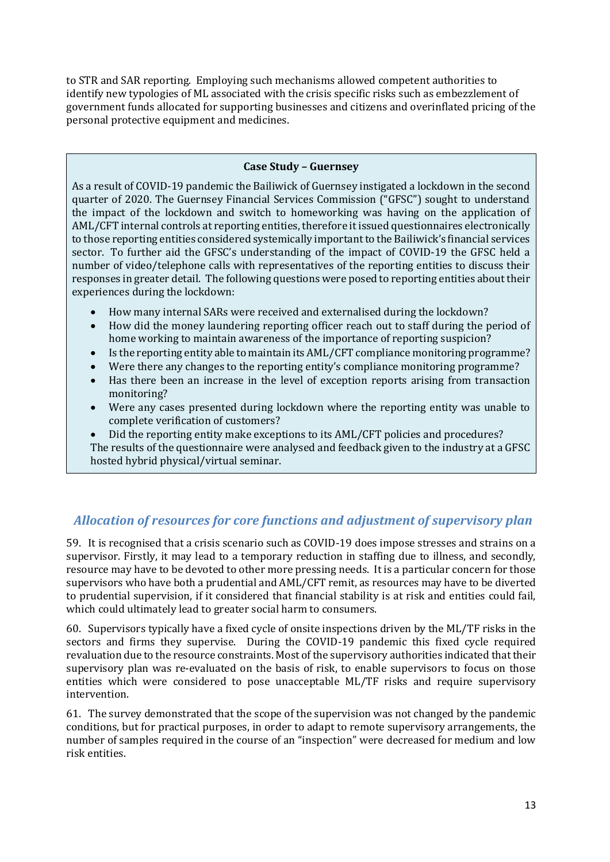to STR and SAR reporting. Employing such mechanisms allowed competent authorities to identify new typologies of ML associated with the crisis specific risks such as embezzlement of government funds allocated for supporting businesses and citizens and overinflated pricing of the personal protective equipment and medicines.

#### **Case Study – Guernsey**

As a result of COVID-19 pandemic the Bailiwick of Guernsey instigated a lockdown in the second quarter of 2020. The Guernsey Financial Services Commission ("GFSC") sought to understand the impact of the lockdown and switch to homeworking was having on the application of AML/CFT internal controls at reporting entities, therefore it issued questionnaires electronically to those reporting entities considered systemically important to the Bailiwick's financial services sector. To further aid the GFSC's understanding of the impact of COVID-19 the GFSC held a number of video/telephone calls with representatives of the reporting entities to discuss their responses in greater detail. The following questions were posed to reporting entities about their experiences during the lockdown:

- How many internal SARs were received and externalised during the lockdown?
- How did the money laundering reporting officer reach out to staff during the period of home working to maintain awareness of the importance of reporting suspicion?
- Is the reporting entity able to maintain its AML/CFT compliance monitoring programme?
- Were there any changes to the reporting entity's compliance monitoring programme?
- Has there been an increase in the level of exception reports arising from transaction monitoring?
- Were any cases presented during lockdown where the reporting entity was unable to complete verification of customers?
- Did the reporting entity make exceptions to its AML/CFT policies and procedures? The results of the questionnaire were analysed and feedback given to the industry at a GFSC hosted hybrid physical/virtual seminar.

## <span id="page-12-0"></span>*Allocation of resources for core functions and adjustment of supervisory plan*

59. It is recognised that a crisis scenario such as COVID-19 does impose stresses and strains on a supervisor. Firstly, it may lead to a temporary reduction in staffing due to illness, and secondly, resource may have to be devoted to other more pressing needs. It is a particular concern for those supervisors who have both a prudential and AML/CFT remit, as resources may have to be diverted to prudential supervision, if it considered that financial stability is at risk and entities could fail, which could ultimately lead to greater social harm to consumers.

60. Supervisors typically have a fixed cycle of onsite inspections driven by the ML/TF risks in the sectors and firms they supervise. During the COVID-19 pandemic this fixed cycle required revaluation due to the resource constraints. Most of the supervisory authorities indicated that their supervisory plan was re-evaluated on the basis of risk, to enable supervisors to focus on those entities which were considered to pose unacceptable ML/TF risks and require supervisory intervention.

61. The survey demonstrated that the scope of the supervision was not changed by the pandemic conditions, but for practical purposes, in order to adapt to remote supervisory arrangements, the number of samples required in the course of an "inspection" were decreased for medium and low risk entities.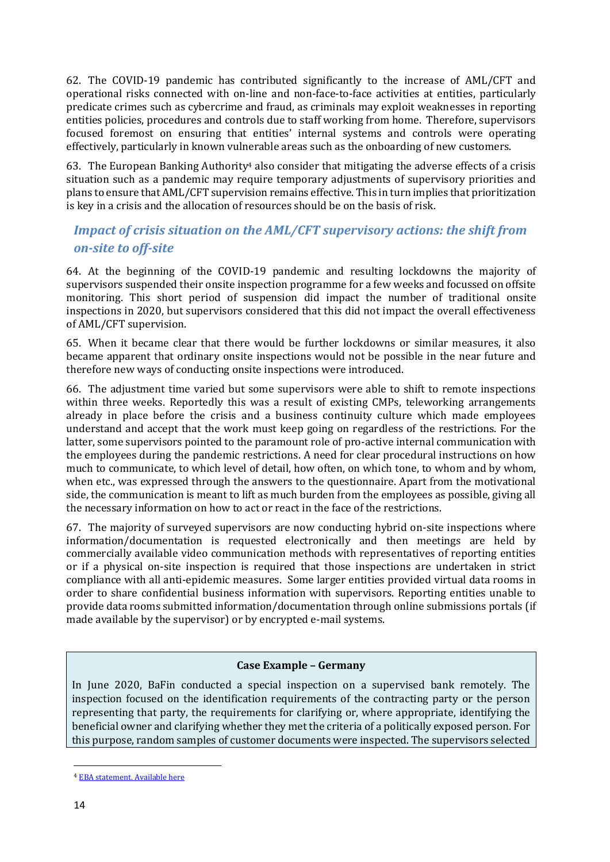62. The COVID-19 pandemic has contributed significantly to the increase of AML/CFT and operational risks connected with on-line and non-face-to-face activities at entities, particularly predicate crimes such as cybercrime and fraud, as criminals may exploit weaknesses in reporting entities policies, procedures and controls due to staff working from home. Therefore, supervisors focused foremost on ensuring that entities' internal systems and controls were operating effectively, particularly in known vulnerable areas such as the onboarding of new customers.

63. The European Banking Authority<sup>4</sup> also consider that mitigating the adverse effects of a crisis situation such as a pandemic may require temporary adjustments of supervisory priorities and plans to ensure that AML/CFT supervision remains effective. This in turn implies that prioritization is key in a crisis and the allocation of resources should be on the basis of risk.

## <span id="page-13-0"></span>*Impact of crisis situation on the AML/CFT supervisory actions: the shift from on-site to off-site*

64. At the beginning of the COVID-19 pandemic and resulting lockdowns the majority of supervisors suspended their onsite inspection programme for a few weeks and focussed on offsite monitoring. This short period of suspension did impact the number of traditional onsite inspections in 2020, but supervisors considered that this did not impact the overall effectiveness of AML/CFT supervision.

65. When it became clear that there would be further lockdowns or similar measures, it also became apparent that ordinary onsite inspections would not be possible in the near future and therefore new ways of conducting onsite inspections were introduced.

66. The adjustment time varied but some supervisors were able to shift to remote inspections within three weeks. Reportedly this was a result of existing CMPs, teleworking arrangements already in place before the crisis and a business continuity culture which made employees understand and accept that the work must keep going on regardless of the restrictions. For the latter, some supervisors pointed to the paramount role of pro-active internal communication with the employees during the pandemic restrictions. A need for clear procedural instructions on how much to communicate, to which level of detail, how often, on which tone, to whom and by whom, when etc., was expressed through the answers to the questionnaire. Apart from the motivational side, the communication is meant to lift as much burden from the employees as possible, giving all the necessary information on how to act or react in the face of the restrictions.

67. The majority of surveyed supervisors are now conducting hybrid on-site inspections where information/documentation is requested electronically and then meetings are held by commercially available video communication methods with representatives of reporting entities or if a physical on-site inspection is required that those inspections are undertaken in strict compliance with all anti-epidemic measures. Some larger entities provided virtual data rooms in order to share confidential business information with supervisors. Reporting entities unable to provide data rooms submitted information/documentation through online submissions portals (if made available by the supervisor) or by encrypted e-mail systems.

#### **Case Example – Germany**

In June 2020, BaFin conducted a special inspection on a supervised bank remotely. The inspection focused on the identification requirements of the contracting party or the person representing that party, the requirements for clarifying or, where appropriate, identifying the beneficial owner and clarifying whether they met the criteria of a politically exposed person. For this purpose, random samples of customer documents were inspected. The supervisors selected

<sup>4</sup> EBA statement. Availabl[e here](https://www.eba.europa.eu/sites/default/documents/files/document_library/News%20and%20Press/Press%20Room/Press%20Releases/2020/EBA%20provides%20additional%20clarity%20on%20measures%20to%20mitigate%20the%20impact%20of%20COVID19%20on%20the%20EU%20banking%20sector/Statement%20on%20actions%20to%20mitigate%20financial%20crime%20risks%20in%20the%20COVID-19%20pandemic.pdf)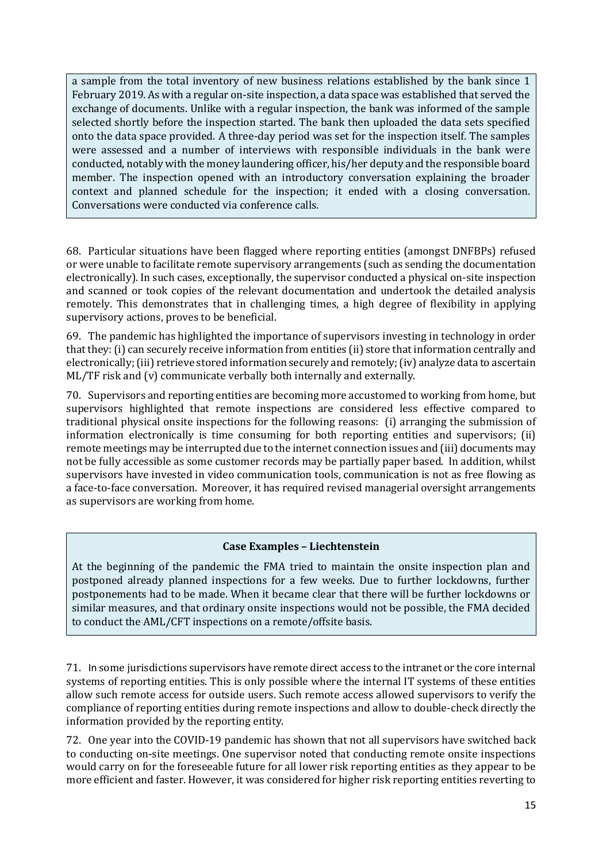a sample from the total inventory of new business relations established by the bank since 1 February 2019. As with a regular on-site inspection, a data space was established that served the exchange of documents. Unlike with a regular inspection, the bank was informed of the sample selected shortly before the inspection started. The bank then uploaded the data sets specified onto the data space provided. A three-day period was set for the inspection itself. The samples were assessed and a number of interviews with responsible individuals in the bank were conducted, notably with the money laundering officer, his/her deputy and the responsible board member. The inspection opened with an introductory conversation explaining the broader context and planned schedule for the inspection; it ended with a closing conversation. Conversations were conducted via conference calls.

68. Particular situations have been flagged where reporting entities (amongst DNFBPs) refused or were unable to facilitate remote supervisory arrangements (such as sending the documentation electronically). In such cases, exceptionally, the supervisor conducted a physical on-site inspection and scanned or took copies of the relevant documentation and undertook the detailed analysis remotely. This demonstrates that in challenging times, a high degree of flexibility in applying supervisory actions, proves to be beneficial.

69. The pandemic has highlighted the importance of supervisors investing in technology in order that they: (i) can securely receive information from entities (ii) store that information centrally and electronically; (iii) retrieve stored information securely and remotely; (iv) analyze data to ascertain ML/TF risk and (v) communicate verbally both internally and externally.

70. Supervisors and reporting entities are becoming more accustomed to working from home, but supervisors highlighted that remote inspections are considered less effective compared to traditional physical onsite inspections for the following reasons: (i) arranging the submission of information electronically is time consuming for both reporting entities and supervisors; (ii) remote meetings may be interrupted due to the internet connection issues and (iii) documents may not be fully accessible as some customer records may be partially paper based. In addition, whilst supervisors have invested in video communication tools, communication is not as free flowing as a face-to-face conversation. Moreover, it has required revised managerial oversight arrangements as supervisors are working from home.

#### **Case Examples – Liechtenstein**

At the beginning of the pandemic the FMA tried to maintain the onsite inspection plan and postponed already planned inspections for a few weeks. Due to further lockdowns, further postponements had to be made. When it became clear that there will be further lockdowns or similar measures, and that ordinary onsite inspections would not be possible, the FMA decided to conduct the AML/CFT inspections on a remote/offsite basis.

71. In some jurisdictions supervisors have remote direct access to the intranet or the core internal systems of reporting entities. This is only possible where the internal IT systems of these entities allow such remote access for outside users. Such remote access allowed supervisors to verify the compliance of reporting entities during remote inspections and allow to double-check directly the information provided by the reporting entity.

72. One year into the COVID-19 pandemic has shown that not all supervisors have switched back to conducting on-site meetings. One supervisor noted that conducting remote onsite inspections would carry on for the foreseeable future for all lower risk reporting entities as they appear to be more efficient and faster. However, it was considered for higher risk reporting entities reverting to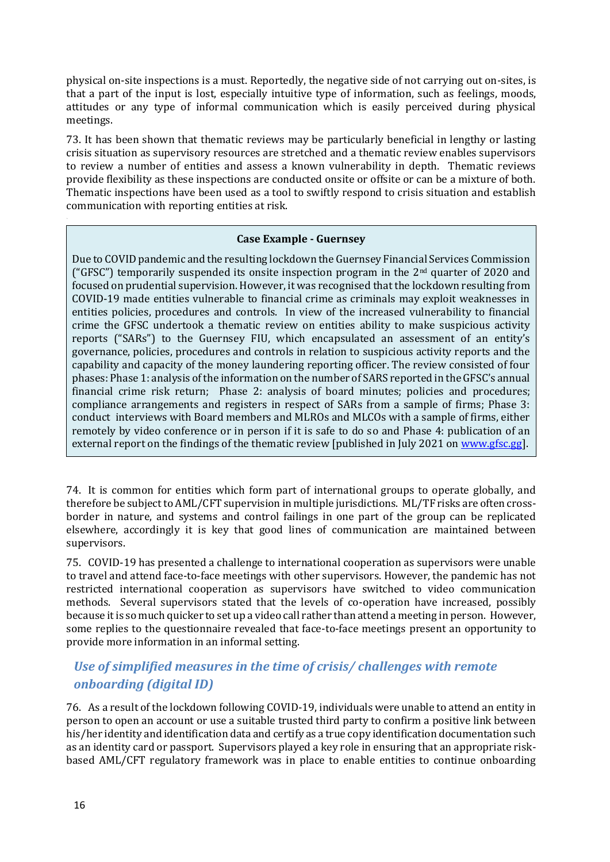physical on-site inspections is a must. Reportedly, the negative side of not carrying out on-sites, is that a part of the input is lost, especially intuitive type of information, such as feelings, moods, attitudes or any type of informal communication which is easily perceived during physical meetings.

73. It has been shown that thematic reviews may be particularly beneficial in lengthy or lasting crisis situation as supervisory resources are stretched and a thematic review enables supervisors to review a number of entities and assess a known vulnerability in depth. Thematic reviews provide flexibility as these inspections are conducted onsite or offsite or can be a mixture of both. Thematic inspections have been used as a tool to swiftly respond to crisis situation and establish communication with reporting entities at risk.

#### **Case Example - Guernsey**

Due to COVID pandemic and the resulting lockdown the Guernsey Financial Services Commission ("GFSC") temporarily suspended its onsite inspection program in the  $2<sup>nd</sup>$  quarter of 2020 and focused on prudential supervision. However, it was recognised that the lockdown resulting from COVID-19 made entities vulnerable to financial crime as criminals may exploit weaknesses in entities policies, procedures and controls. In view of the increased vulnerability to financial crime the GFSC undertook a thematic review on entities ability to make suspicious activity reports ("SARs") to the Guernsey FIU, which encapsulated an assessment of an entity's governance, policies, procedures and controls in relation to suspicious activity reports and the capability and capacity of the money laundering reporting officer. The review consisted of four phases: Phase 1: analysis of the information on the number of SARS reported in the GFSC's annual financial crime risk return; Phase 2: analysis of board minutes; policies and procedures; compliance arrangements and registers in respect of SARs from a sample of firms; Phase 3: conduct interviews with Board members and MLROs and MLCOs with a sample of firms, either remotely by video conference or in person if it is safe to do so and Phase 4: publication of an external report on the findings of the thematic review [published in July 2021 on [www.gfsc.gg\]](http://www.gfsc.gg/).

74. It is common for entities which form part of international groups to operate globally, and therefore be subject to AML/CFT supervision in multiple jurisdictions. ML/TF risks are often crossborder in nature, and systems and control failings in one part of the group can be replicated elsewhere, accordingly it is key that good lines of communication are maintained between supervisors.

75. COVID-19 has presented a challenge to international cooperation as supervisors were unable to travel and attend face-to-face meetings with other supervisors. However, the pandemic has not restricted international cooperation as supervisors have switched to video communication methods. Several supervisors stated that the levels of co-operation have increased, possibly because it is so much quicker to set up a video call rather than attend a meeting in person. However, some replies to the questionnaire revealed that face-to-face meetings present an opportunity to provide more information in an informal setting.

## <span id="page-15-0"></span>*Use of simplified measures in the time of crisis/ challenges with remote onboarding (digital ID)*

76. As a result of the lockdown following COVID-19, individuals were unable to attend an entity in person to open an account or use a suitable trusted third party to confirm a positive link between his/her identity and identification data and certify as a true copy identification documentation such as an identity card or passport. Supervisors played a key role in ensuring that an appropriate riskbased AML/CFT regulatory framework was in place to enable entities to continue onboarding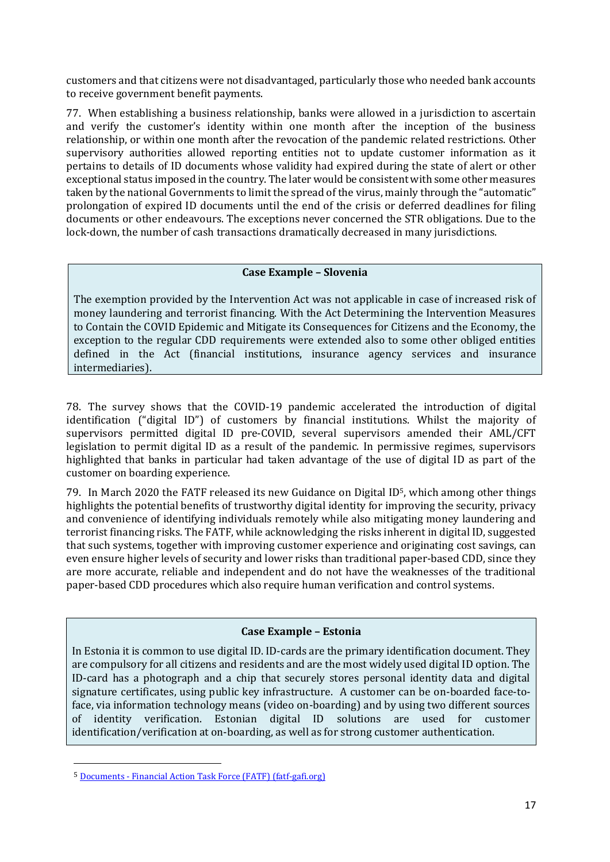customers and that citizens were not disadvantaged, particularly those who needed bank accounts to receive government benefit payments.

77. When establishing a business relationship, banks were allowed in a jurisdiction to ascertain and verify the customer's identity within one month after the inception of the business relationship, or within one month after the revocation of the pandemic related restrictions. Other supervisory authorities allowed reporting entities not to update customer information as it pertains to details of ID documents whose validity had expired during the state of alert or other exceptional status imposed in the country. The later would be consistent with some other measures taken by the national Governments to limit the spread of the virus, mainly through the "automatic" prolongation of expired ID documents until the end of the crisis or deferred deadlines for filing documents or other endeavours. The exceptions never concerned the STR obligations. Due to the lock-down, the number of cash transactions dramatically decreased in many jurisdictions.

#### **Case Example – Slovenia**

The exemption provided by the Intervention Act was not applicable in case of increased risk of money laundering and terrorist financing. With the Act Determining the Intervention Measures to Contain the COVID Epidemic and Mitigate its Consequences for Citizens and the Economy, the exception to the regular CDD requirements were extended also to some other obliged entities defined in the Act (financial institutions, insurance agency services and insurance intermediaries).

78. The survey shows that the COVID-19 pandemic accelerated the introduction of digital identification ("digital ID") of customers by financial institutions. Whilst the majority of supervisors permitted digital ID pre-COVID, several supervisors amended their AML/CFT legislation to permit digital ID as a result of the pandemic. In permissive regimes, supervisors highlighted that banks in particular had taken advantage of the use of digital ID as part of the customer on boarding experience.

79. In March 2020 the FATF released its new [Guidance on Digital ID](https://www.fatf-gafi.org/media/fatf/documents/recommendations/pdfs/Guidance-on-Digital-Identity.pdf)5, which among other things highlights the potential benefits of trustworthy digital identity for improving the security, privacy and convenience of identifying individuals remotely while also mitigating money laundering and terrorist financing risks. The FATF, while acknowledging the risks inherent in digital ID, suggested that such systems, together with improving customer experience and originating cost savings, can even ensure higher levels of security and lower risks than traditional paper-based CDD, since they are more accurate, reliable and independent and do not have the weaknesses of the traditional paper-based CDD procedures which also require human verification and control systems.

#### **Case Example – Estonia**

In Estonia it is common to use digital ID. ID-cards are the primary identification document. They are compulsory for all citizens and residents and are the most widely used digital ID option. The ID-card has a photograph and a chip that securely stores personal identity data and digital signature certificates, using public key infrastructure. A customer can be on-boarded face-toface, via information technology means (video on-boarding) and by using two different sources of identity verification. Estonian digital ID solutions are used for customer identification/verification at on-boarding, as well as for strong customer authentication.

<sup>5</sup> Documents - [Financial Action Task Force \(FATF\) \(fatf-gafi.org\)](https://www.fatf-gafi.org/publications/financialinclusionandnpoissues/documents/digital-identity-guidance.html)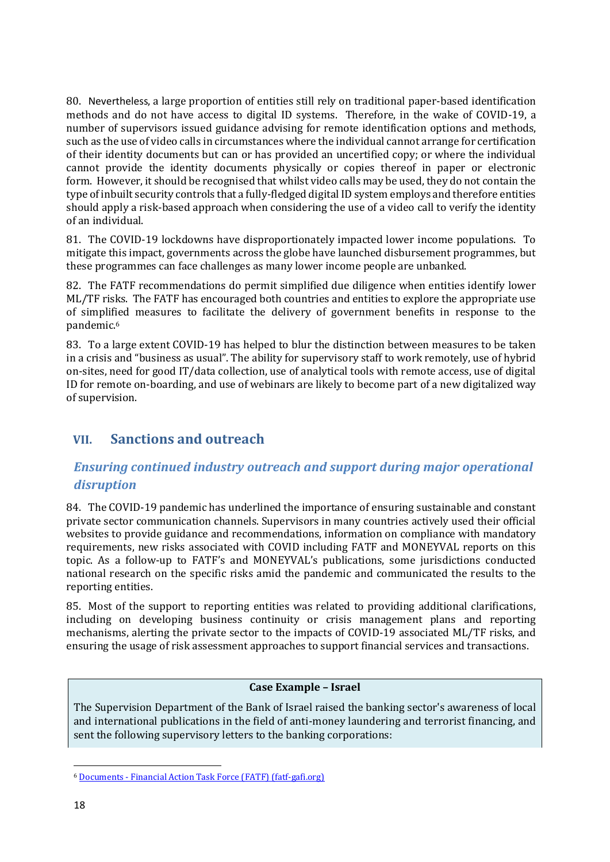80. Nevertheless, a large proportion of entities still rely on traditional paper-based identification methods and do not have access to digital ID systems. Therefore, in the wake of COVID-19, a number of supervisors issued guidance advising for remote identification options and methods, such as the use of video calls in circumstances where the individual cannot arrange for certification of their identity documents but can or has provided an uncertified copy; or where the individual cannot provide the identity documents physically or copies thereof in paper or electronic form. However, it should be recognised that whilst video calls may be used, they do not contain the type of inbuilt security controls that a fully-fledged digital ID system employs and therefore entities should apply a risk-based approach when considering the use of a video call to verify the identity of an individual.

81. The COVID-19 lockdowns have disproportionately impacted lower income populations. To mitigate this impact, governments across the globe have launched disbursement programmes, but these programmes can face challenges as many lower income people are unbanked.

82. The FATF recommendations do permit simplified due diligence when entities identify lower ML/TF risks. The FATF has encouraged both countries and entities to explore the appropriate use of simplified measures to facilitate the delivery of government benefits in response to the pandemic.<sup>6</sup>

83. To a large extent COVID-19 has helped to blur the distinction between measures to be taken in a crisis and "business as usual". The ability for supervisory staff to work remotely, use of hybrid on-sites, need for good IT/data collection, use of analytical tools with remote access, use of digital ID for remote on-boarding, and use of webinars are likely to become part of a new digitalized way of supervision.

## <span id="page-17-0"></span>**VII. Sanctions and outreach**

## <span id="page-17-1"></span>*Ensuring continued industry outreach and support during major operational disruption*

84. The COVID-19 pandemic has underlined the importance of ensuring sustainable and constant private sector communication channels. Supervisors in many countries actively used their official websites to provide guidance and recommendations, information on compliance with mandatory requirements, new risks associated with COVID including FATF and MONEYVAL reports on this topic. As a follow-up to FATF's and MONEYVAL's publications, some jurisdictions conducted national research on the specific risks amid the pandemic and communicated the results to the reporting entities.

85. Most of the support to reporting entities was related to providing additional clarifications, including on developing business continuity or crisis management plans and reporting mechanisms, alerting the private sector to the impacts of COVID-19 associated ML/TF risks, and ensuring the usage of risk assessment approaches to support financial services and transactions.

#### **Case Example – Israel**

The Supervision Department of the Bank of Israel raised the banking sector's awareness of local and international publications in the field of anti-money laundering and terrorist financing, and sent the following supervisory letters to the banking corporations:

<sup>6</sup> Documents - [Financial Action Task Force \(FATF\) \(fatf-gafi.org\)](https://www.fatf-gafi.org/publications/methodsandtrends/documents/covid-19-ml-tf.html)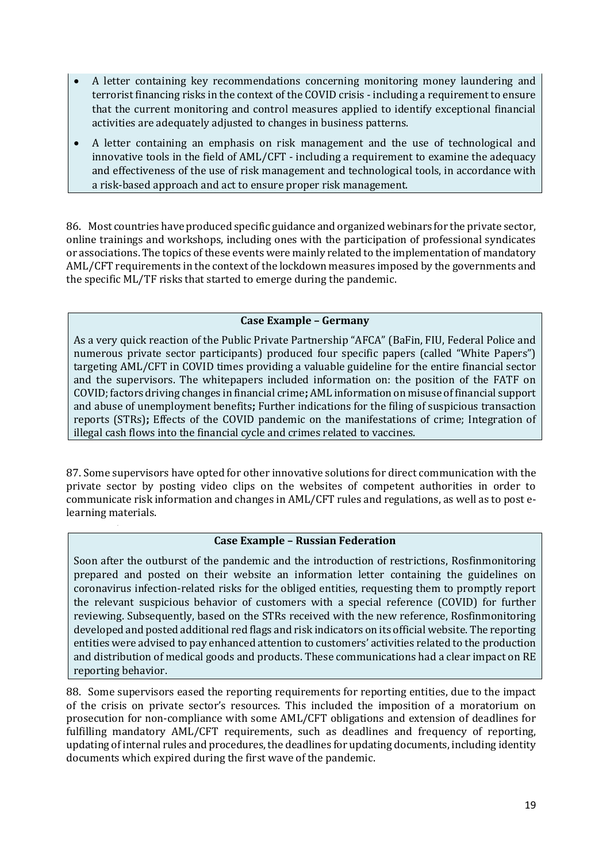- A letter containing key recommendations concerning monitoring money laundering and terrorist financing risks in the context of the COVID crisis - including a requirement to ensure that the current monitoring and control measures applied to identify exceptional financial activities are adequately adjusted to changes in business patterns.
- A letter containing an emphasis on risk management and the use of technological and innovative tools in the field of AML/CFT - including a requirement to examine the adequacy and effectiveness of the use of risk management and technological tools, in accordance with a risk-based approach and act to ensure proper risk management.

86. Most countries have produced specific guidance and organized webinars for the private sector, online trainings and workshops, including ones with the participation of professional syndicates or associations. The topics of these events were mainly related to the implementation of mandatory AML/CFT requirements in the context of the lockdown measures imposed by the governments and the specific ML/TF risks that started to emerge during the pandemic.

#### **Case Example – Germany**

As a very quick reaction of the Public Private Partnership "AFCA" (BaFin, FIU, Federal Police and numerous private sector participants) produced four specific papers (called "White Papers") targeting AML/CFT in COVID times providing a valuable guideline for the entire financial sector and the supervisors. The whitepapers included information on: the position of the FATF on COVID; factors driving changes in financial crime**;** AML information on misuse of financial support and abuse of unemployment benefits**;** Further indications for the filing of suspicious transaction reports (STRs)**;** Effects of the COVID pandemic on the manifestations of crime; Integration of illegal cash flows into the financial cycle and crimes related to vaccines.

87. Some supervisors have opted for other innovative solutions for direct communication with the private sector by posting video clips on the websites of competent authorities in order to communicate risk information and changes in AML/CFT rules and regulations, as well as to post elearning materials.

#### **Case Example – Russian Federation**

Soon after the outburst of the pandemic and the introduction of restrictions, Rosfinmonitoring prepared and posted on their website an information letter containing the guidelines on coronavirus infection-related risks for the obliged entities, requesting them to promptly report the relevant suspicious behavior of customers with a special reference (СOVID) for further reviewing. Subsequently, based on the STRs received with the new reference, Rosfinmonitoring developed and posted additional red flags and risk indicators on its official website. The reporting entities were advised to pay enhanced attention to customers' activities related to the production and distribution of medical goods and products. These communications had a clear impact on RE reporting behavior.

88. Some supervisors eased the reporting requirements for reporting entities, due to the impact of the crisis on private sector's resources. This included the imposition of a moratorium on prosecution for non-compliance with some AML/CFT obligations and extension of deadlines for fulfilling mandatory AML/CFT requirements, such as deadlines and frequency of reporting, updating of internal rules and procedures, the deadlines for updating documents, including identity documents which expired during the first wave of the pandemic.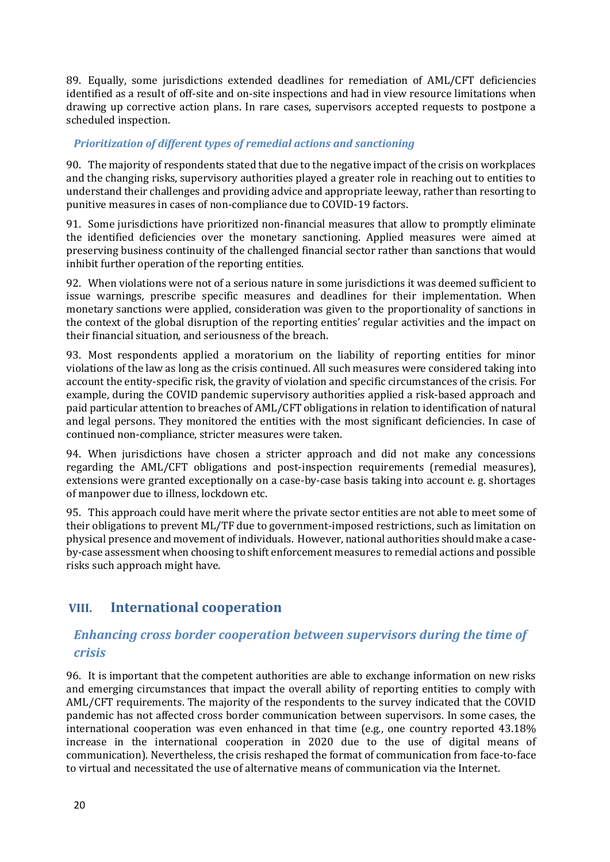89. Equally, some jurisdictions extended deadlines for remediation of AML/CFT deficiencies identified as a result of off-site and on-site inspections and had in view resource limitations when drawing up corrective action plans. In rare cases, supervisors accepted requests to postpone a scheduled inspection.

#### <span id="page-19-0"></span>*Prioritization of different types of remedial actions and sanctioning*

90. The majority of respondents stated that due to the negative impact of the crisis on workplaces and the changing risks, supervisory authorities played a greater role in reaching out to entities to understand their challenges and providing advice and appropriate leeway, rather than resorting to punitive measures in cases of non-compliance due to COVID-19 factors.

91. Some jurisdictions have prioritized non-financial measures that allow to promptly eliminate the identified deficiencies over the monetary sanctioning. Applied measures were aimed at preserving business continuity of the challenged financial sector rather than sanctions that would inhibit further operation of the reporting entities.

92. When violations were not of a serious nature in some jurisdictions it was deemed sufficient to issue warnings*,* prescribe specific measures and deadlines for their implementation. When monetary sanctions were applied, consideration was given to the proportionality of sanctions in the context of the global disruption of the reporting entities' regular activities and the impact on their financial situation, and seriousness of the breach.

93. Most respondents applied a moratorium on the liability of reporting entities for minor violations of the law as long as the crisis continued. All such measures were considered taking into account the entity-specific risk, the gravity of violation and specific circumstances of the crisis. For example, during the COVID pandemic supervisory authorities applied a risk-based approach and paid particular attention to breaches of AML/CFT obligations in relation to identification of natural and legal persons. They monitored the entities with the most significant deficiencies. In case of continued non-compliance, stricter measures were taken.

94. When jurisdictions have chosen a stricter approach and did not make any concessions regarding the AML/CFT obligations and post-inspection requirements (remedial measures), extensions were granted exceptionally on a case-by-case basis taking into account e. g. shortages of manpower due to illness, lockdown etc.

95. This approach could have merit where the private sector entities are not able to meet some of their obligations to prevent ML/TF due to government-imposed restrictions, such as limitation on physical presence and movement of individuals. However, national authorities should make a caseby-case assessment when choosing to shift enforcement measures to remedial actions and possible risks such approach might have.

## <span id="page-19-1"></span>**VIII. International cooperation**

## <span id="page-19-2"></span>*Enhancing cross border cooperation between supervisors during the time of crisis*

96. It is important that the competent authorities are able to exchange information on new risks and emerging circumstances that impact the overall ability of reporting entities to comply with AML/CFT requirements. The majority of the respondents to the survey indicated that the COVID pandemic has not affected cross border communication between supervisors. In some cases, the international cooperation was even enhanced in that time (e.g., one country reported 43.18% increase in the international cooperation in 2020 due to the use of digital means of communication). Nevertheless, the crisis reshaped the format of communication from face-to-face to virtual and necessitated the use of alternative means of communication via the Internet.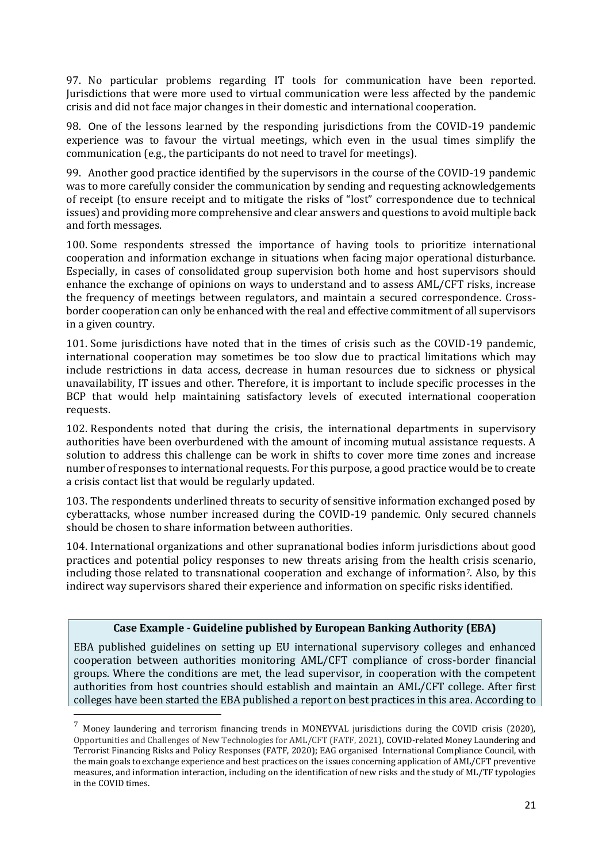97. No particular problems regarding IT tools for communication have been reported. Jurisdictions that were more used to virtual communication were less affected by the pandemic crisis and did not face major changes in their domestic and international cooperation.

98. One of the lessons learned by the responding jurisdictions from the COVID-19 pandemic experience was to favour the virtual meetings, which even in the usual times simplify the communication (e.g., the participants do not need to travel for meetings).

99. Another good practice identified by the supervisors in the course of the COVID-19 pandemic was to more carefully consider the communication by sending and requesting acknowledgements of receipt (to ensure receipt and to mitigate the risks of "lost" correspondence due to technical issues) and providing more comprehensive and clear answers and questions to avoid multiple back and forth messages.

100. Some respondents stressed the importance of having tools to prioritize international cooperation and information exchange in situations when facing major operational disturbance. Especially, in cases of consolidated group supervision both home and host supervisors should enhance the exchange of opinions on ways to understand and to assess AML/CFT risks, increase the frequency of meetings between regulators, and maintain a secured correspondence. Crossborder cooperation can only be enhanced with the real and effective commitment of all supervisors in a given country.

101. Some jurisdictions have noted that in the times of crisis such as the COVID-19 pandemic, international cooperation may sometimes be too slow due to practical limitations which may include restrictions in data access, decrease in human resources due to sickness or physical unavailability, IT issues and other. Therefore, it is important to include specific processes in the BCP that would help maintaining satisfactory levels of executed international cooperation requests.

102. Respondents noted that during the crisis, the international departments in supervisory authorities have been overburdened with the amount of incoming mutual assistance requests. A solution to address this challenge can be work in shifts to cover more time zones and increase number of responses to international requests. For this purpose, a good practice would be to create a crisis contact list that would be regularly updated.

103. The respondents underlined threats to security of sensitive information exchanged posed by cyberattacks, whose number increased during the COVID-19 pandemic. Only secured channels should be chosen to share information between authorities.

104. International organizations and other supranational bodies inform jurisdictions about good practices and potential policy responses to new threats arising from the health crisis scenario, including those related to transnational cooperation and exchange of information<sup>7</sup>. Also, by this indirect way supervisors shared their experience and information on specific risks identified.

#### **Case Example - Guideline published by European Banking Authority (EBA)**

EBA published guidelines on setting up EU international supervisory colleges and enhanced cooperation between authorities monitoring AML/CFT compliance of cross-border financial groups. Where the conditions are met, the lead supervisor, in cooperation with the competent authorities from host countries should establish and maintain an AML/CFT college. After first colleges have been started the EBA published a report on best practices in this area. According to

 $^7$  Monev laundering and terrorism financing trends in MONEYVAL jurisdictions during the COVID crisis (2020), Opportunities and Challenges of New Technologies for AML/CFT (FATF, 2021), COVID-related Money Laundering and Terrorist Financing Risks and Policy Responses (FATF, 2020); EAG organised International Compliance Council, with the main goals to exchange experience and best practices on the issues concerning application of AML/CFT preventive measures, and information interaction, including on the identification of new risks and the study of ML/TF typologies in the COVID times.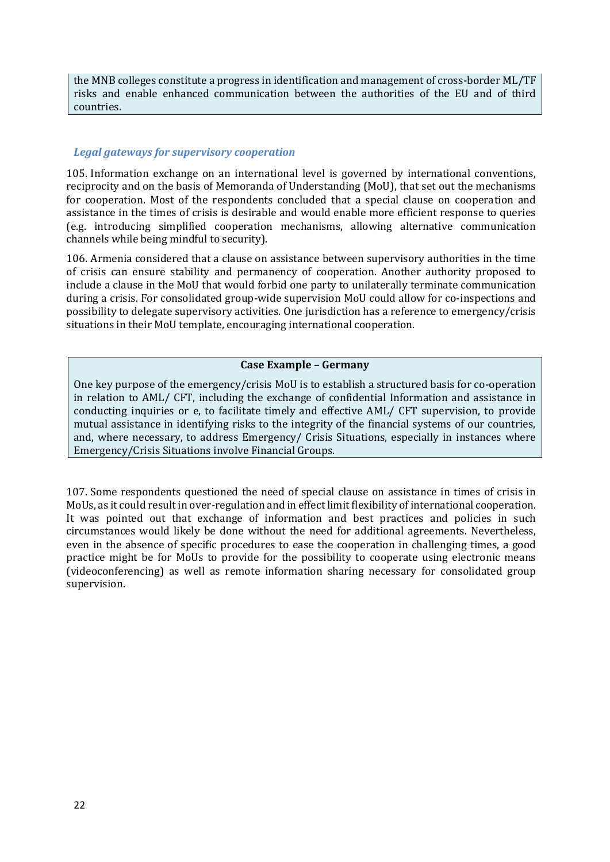the MNB colleges constitute a progress in identification and management of cross-border ML/TF risks and enable enhanced communication between the authorities of the EU and of third countries.

#### <span id="page-21-0"></span>*Legal gateways for supervisory cooperation*

105. Information exchange on an international level is governed by international conventions, reciprocity and on the basis of Memoranda of Understanding (MoU), that set out the mechanisms for cooperation. Most of the respondents concluded that a special clause on cooperation and assistance in the times of crisis is desirable and would enable more efficient response to queries (e.g. introducing simplified cooperation mechanisms, allowing alternative communication channels while being mindful to security).

106. Armenia considered that a clause on assistance between supervisory authorities in the time of crisis can ensure stability and permanency of cooperation. Another authority proposed to include a clause in the MoU that would forbid one party to unilaterally terminate communication during a crisis. For consolidated group-wide supervision MoU could allow for co-inspections and possibility to delegate supervisory activities. One jurisdiction has a reference to emergency/crisis situations in their MoU template, encouraging international cooperation.

#### **Case Example – Germany**

One key purpose of the emergency/crisis MoU is to establish a structured basis for co-operation in relation to AML/ CFT, including the exchange of confidential Information and assistance in conducting inquiries or e, to facilitate timely and effective AML/ CFT supervision, to provide mutual assistance in identifying risks to the integrity of the financial systems of our countries, and, where necessary, to address Emergency/ Crisis Situations, especially in instances where Emergency/Crisis Situations involve Financial Groups.

107. Some respondents questioned the need of special clause on assistance in times of crisis in MoUs, as it could result in over-regulation and in effect limit flexibility of international cooperation. It was pointed out that exchange of information and best practices and policies in such circumstances would likely be done without the need for additional agreements. Nevertheless, even in the absence of specific procedures to ease the cooperation in challenging times, a good practice might be for MoUs to provide for the possibility to cooperate using electronic means (videoconferencing) as well as remote information sharing necessary for consolidated group supervision.